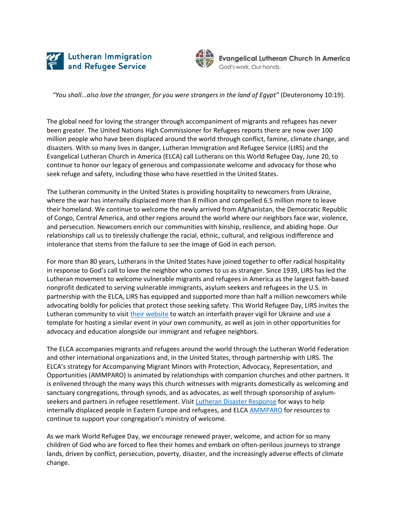



**Evangelical Lutheran Church in America** God's work, Our hands,

*"You shall...also love the stranger, for you were strangers in the land of Egypt"* (Deuteronomy 10:19).

The global need for loving the stranger through accompaniment of migrants and refugees has never been greater. The United Nations High Commissioner for Refugees reports there are now over 100 million people who have been displaced around the world through conflict, famine, climate change, and disasters. With so many lives in danger, Lutheran Immigration and Refugee Service (LIRS) and the Evangelical Lutheran Church in America (ELCA) call Lutherans on this World Refugee Day, June 20, to continue to honor our legacy of generous and compassionate welcome and advocacy for those who seek refuge and safety, including those who have resettled in the United States.

The Lutheran community in the United States is providing hospitality to newcomers from Ukraine, where the war has internally displaced more than 8 million and compelled 6.5 million more to leave their homeland. We continue to welcome the newly arrived from Afghanistan, the Democratic Republic of Congo, Central America, and other regions around the world where our neighbors face war, violence, and persecution. Newcomers enrich our communities with kinship, resilience, and abiding hope. Our relationships call us to tirelessly challenge the racial, ethnic, cultural, and religious indifference and intolerance that stems from the failure to see the image of God in each person.

For more than 80 years, Lutherans in the United States have joined together to offer radical hospitality in response to God's call to love the neighbor who comes to us as stranger. Since 1939, LIRS has led the Lutheran movement to welcome vulnerable migrants and refugees in America as the largest faith-based nonprofit dedicated to serving vulnerable immigrants, asylum seekers and refugees in the U.S. In partnership with the ELCA, LIRS has equipped and supported more than half a million newcomers while advocating boldly for policies that protect those seeking safety. This World Refugee Day, LIRS invites the Lutheran community to visi[t their website](https://www.lirs.org/speakup) to watch an interfaith prayer vigil for Ukraine and use a template for hosting a similar event in your own community, as well as join in other opportunities for advocacy and education alongside our immigrant and refugee neighbors.

The ELCA accompanies migrants and refugees around the world through the Lutheran World Federation and other international organizations and, in the United States, through partnership with LIRS. The ELCA's strategy for Accompanying Migrant Minors with Protection, Advocacy, Representation, and Opportunities (AMMPARO) is animated by relationships with companion churches and other partners. It is enlivened through the many ways this church witnesses with migrants domestically as welcoming and sanctuary congregations, through synods, and as advocates, as well through sponsorship of asylum-seekers and partners in refugee resettlement. Visit [Lutheran Disaster Response](https://elca.org/Our-Work/Relief-and-Development/Lutheran-Disaster-Response/Our-Impact/Eastern-Europe-Crisis-Response) for ways to help internally displaced people in Eastern Europe and refugees, and ELC[A AMMPARO](https://www.elca.org/AMMPARO) for resources to continue to support your congregation's ministry of welcome.

As we mark World Refugee Day, we encourage renewed prayer, welcome, and action for so many children of God who are forced to flee their homes and embark on often-perilous journeys to strange lands, driven by conflict, persecution, poverty, disaster, and the increasingly adverse effects of climate change.